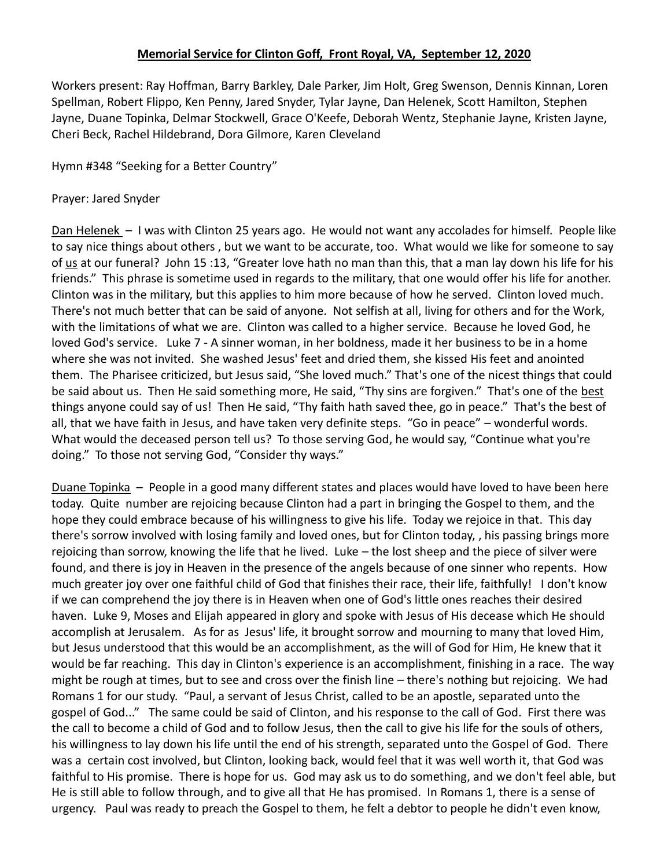## **Memorial Service for Clinton Goff, Front Royal, VA, September 12, 2020**

Workers present: Ray Hoffman, Barry Barkley, Dale Parker, Jim Holt, Greg Swenson, Dennis Kinnan, Loren Spellman, Robert Flippo, Ken Penny, Jared Snyder, Tylar Jayne, Dan Helenek, Scott Hamilton, Stephen Jayne, Duane Topinka, Delmar Stockwell, Grace O'Keefe, Deborah Wentz, Stephanie Jayne, Kristen Jayne, Cheri Beck, Rachel Hildebrand, Dora Gilmore, Karen Cleveland

Hymn #348 "Seeking for a Better Country"

## Prayer: Jared Snyder

Dan Helenek – I was with Clinton 25 years ago. He would not want any accolades for himself. People like to say nice things about others , but we want to be accurate, too. What would we like for someone to say of us at our funeral? John 15 :13, "Greater love hath no man than this, that a man lay down his life for his friends." This phrase is sometime used in regards to the military, that one would offer his life for another. Clinton was in the military, but this applies to him more because of how he served. Clinton loved much. There's not much better that can be said of anyone. Not selfish at all, living for others and for the Work, with the limitations of what we are. Clinton was called to a higher service. Because he loved God, he loved God's service. Luke 7 - A sinner woman, in her boldness, made it her business to be in a home where she was not invited. She washed Jesus' feet and dried them, she kissed His feet and anointed them. The Pharisee criticized, but Jesus said, "She loved much." That's one of the nicest things that could be said about us. Then He said something more, He said, "Thy sins are forgiven." That's one of the best things anyone could say of us! Then He said, "Thy faith hath saved thee, go in peace." That's the best of all, that we have faith in Jesus, and have taken very definite steps. "Go in peace" – wonderful words. What would the deceased person tell us? To those serving God, he would say, "Continue what you're doing." To those not serving God, "Consider thy ways."

Duane Topinka – People in a good many different states and places would have loved to have been here today. Quite number are rejoicing because Clinton had a part in bringing the Gospel to them, and the hope they could embrace because of his willingness to give his life. Today we rejoice in that. This day there's sorrow involved with losing family and loved ones, but for Clinton today, , his passing brings more rejoicing than sorrow, knowing the life that he lived. Luke – the lost sheep and the piece of silver were found, and there is joy in Heaven in the presence of the angels because of one sinner who repents. How much greater joy over one faithful child of God that finishes their race, their life, faithfully! I don't know if we can comprehend the joy there is in Heaven when one of God's little ones reaches their desired haven. Luke 9, Moses and Elijah appeared in glory and spoke with Jesus of His decease which He should accomplish at Jerusalem. As for as Jesus' life, it brought sorrow and mourning to many that loved Him, but Jesus understood that this would be an accomplishment, as the will of God for Him, He knew that it would be far reaching. This day in Clinton's experience is an accomplishment, finishing in a race. The way might be rough at times, but to see and cross over the finish line – there's nothing but rejoicing. We had Romans 1 for our study. "Paul, a servant of Jesus Christ, called to be an apostle, separated unto the gospel of God..." The same could be said of Clinton, and his response to the call of God. First there was the call to become a child of God and to follow Jesus, then the call to give his life for the souls of others, his willingness to lay down his life until the end of his strength, separated unto the Gospel of God. There was a certain cost involved, but Clinton, looking back, would feel that it was well worth it, that God was faithful to His promise. There is hope for us. God may ask us to do something, and we don't feel able, but He is still able to follow through, and to give all that He has promised. In Romans 1, there is a sense of urgency. Paul was ready to preach the Gospel to them, he felt a debtor to people he didn't even know,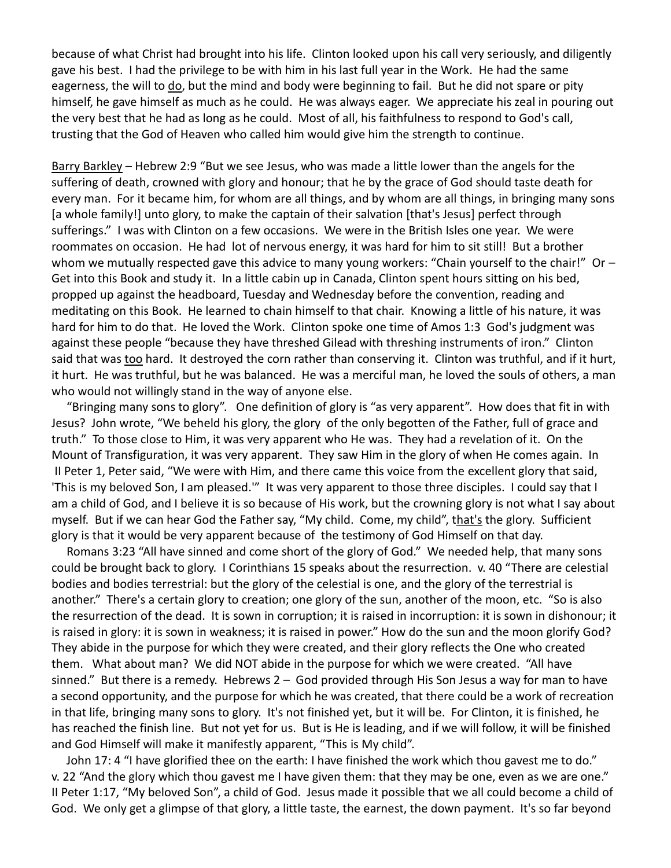because of what Christ had brought into his life. Clinton looked upon his call very seriously, and diligently gave his best. I had the privilege to be with him in his last full year in the Work. He had the same eagerness, the will to do, but the mind and body were beginning to fail. But he did not spare or pity himself, he gave himself as much as he could. He was always eager. We appreciate his zeal in pouring out the very best that he had as long as he could. Most of all, his faithfulness to respond to God's call, trusting that the God of Heaven who called him would give him the strength to continue.

Barry Barkley – Hebrew 2:9 "But we see Jesus, who was made a little lower than the angels for the suffering of death, crowned with glory and honour; that he by the grace of God should taste death for every man. For it became him, for whom are all things, and by whom are all things, in bringing many sons [a whole family!] unto glory, to make the captain of their salvation [that's Jesus] perfect through sufferings." I was with Clinton on a few occasions. We were in the British Isles one year. We were roommates on occasion. He had lot of nervous energy, it was hard for him to sit still! But a brother whom we mutually respected gave this advice to many young workers: "Chain yourself to the chair!" Or  $-$ Get into this Book and study it. In a little cabin up in Canada, Clinton spent hours sitting on his bed, propped up against the headboard, Tuesday and Wednesday before the convention, reading and meditating on this Book. He learned to chain himself to that chair. Knowing a little of his nature, it was hard for him to do that. He loved the Work. Clinton spoke one time of Amos 1:3 God's judgment was against these people "because they have threshed Gilead with threshing instruments of iron." Clinton said that was too hard. It destroyed the corn rather than conserving it. Clinton was truthful, and if it hurt, it hurt. He was truthful, but he was balanced. He was a merciful man, he loved the souls of others, a man who would not willingly stand in the way of anyone else.

 "Bringing many sons to glory". One definition of glory is "as very apparent". How does that fit in with Jesus? John wrote, "We beheld his glory, the glory of the only begotten of the Father, full of grace and truth." To those close to Him, it was very apparent who He was. They had a revelation of it. On the Mount of Transfiguration, it was very apparent. They saw Him in the glory of when He comes again. In II Peter 1, Peter said, "We were with Him, and there came this voice from the excellent glory that said, 'This is my beloved Son, I am pleased.'" It was very apparent to those three disciples. I could say that I am a child of God, and I believe it is so because of His work, but the crowning glory is not what I say about myself. But if we can hear God the Father say, "My child. Come, my child", that's the glory. Sufficient glory is that it would be very apparent because of the testimony of God Himself on that day.

 Romans 3:23 "All have sinned and come short of the glory of God." We needed help, that many sons could be brought back to glory. I Corinthians 15 speaks about the resurrection. v. 40 "There are celestial bodies and bodies terrestrial: but the glory of the celestial is one, and the glory of the terrestrial is another." There's a certain glory to creation; one glory of the sun, another of the moon, etc. "So is also the resurrection of the dead. It is sown in corruption; it is raised in incorruption: it is sown in dishonour; it is raised in glory: it is sown in weakness; it is raised in power." How do the sun and the moon glorify God? They abide in the purpose for which they were created, and their glory reflects the One who created them. What about man? We did NOT abide in the purpose for which we were created. "All have sinned." But there is a remedy. Hebrews 2 – God provided through His Son Jesus a way for man to have a second opportunity, and the purpose for which he was created, that there could be a work of recreation in that life, bringing many sons to glory. It's not finished yet, but it will be. For Clinton, it is finished, he has reached the finish line. But not yet for us. But is He is leading, and if we will follow, it will be finished and God Himself will make it manifestly apparent, "This is My child".

 John 17: 4 "I have glorified thee on the earth: I have finished the work which thou gavest me to do." v. 22 "And the glory which thou gavest me I have given them: that they may be one, even as we are one." II Peter 1:17, "My beloved Son", a child of God. Jesus made it possible that we all could become a child of God. We only get a glimpse of that glory, a little taste, the earnest, the down payment. It's so far beyond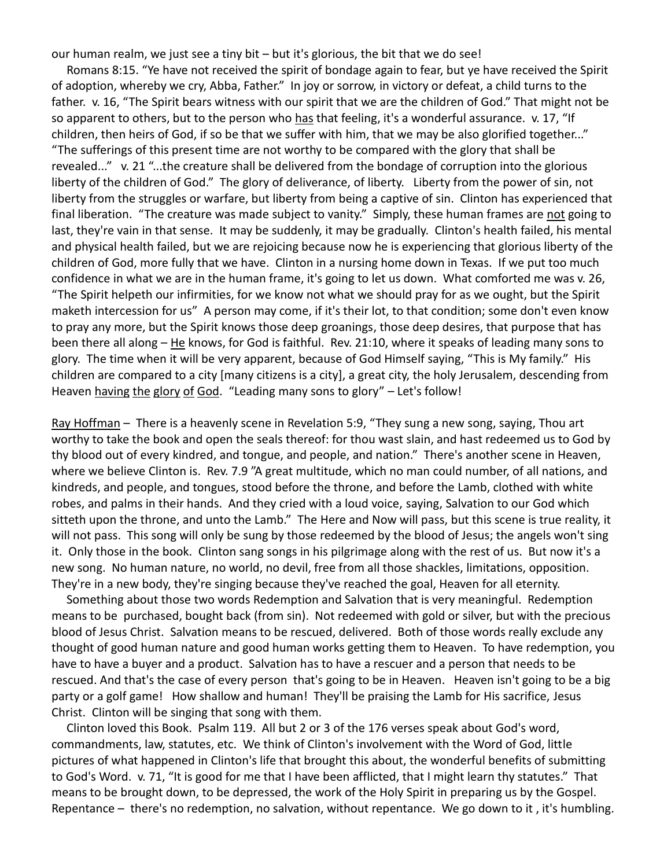our human realm, we just see a tiny bit – but it's glorious, the bit that we do see!

 Romans 8:15. "Ye have not received the spirit of bondage again to fear, but ye have received the Spirit of adoption, whereby we cry, Abba, Father." In joy or sorrow, in victory or defeat, a child turns to the father. v. 16, "The Spirit bears witness with our spirit that we are the children of God." That might not be so apparent to others, but to the person who has that feeling, it's a wonderful assurance. v. 17, "If children, then heirs of God, if so be that we suffer with him, that we may be also glorified together..." "The sufferings of this present time are not worthy to be compared with the glory that shall be revealed..." v. 21 "...the creature shall be delivered from the bondage of corruption into the glorious liberty of the children of God." The glory of deliverance, of liberty. Liberty from the power of sin, not liberty from the struggles or warfare, but liberty from being a captive of sin. Clinton has experienced that final liberation. "The creature was made subject to vanity." Simply, these human frames are not going to last, they're vain in that sense. It may be suddenly, it may be gradually. Clinton's health failed, his mental and physical health failed, but we are rejoicing because now he is experiencing that glorious liberty of the children of God, more fully that we have. Clinton in a nursing home down in Texas. If we put too much confidence in what we are in the human frame, it's going to let us down. What comforted me was v. 26, "The Spirit helpeth our infirmities, for we know not what we should pray for as we ought, but the Spirit maketh intercession for us" A person may come, if it's their lot, to that condition; some don't even know to pray any more, but the Spirit knows those deep groanings, those deep desires, that purpose that has been there all along – He knows, for God is faithful. Rev. 21:10, where it speaks of leading many sons to glory. The time when it will be very apparent, because of God Himself saying, "This is My family." His children are compared to a city [many citizens is a city], a great city, the holy Jerusalem, descending from Heaven having the glory of God. "Leading many sons to glory" - Let's follow!

Ray Hoffman - There is a heavenly scene in Revelation 5:9, "They sung a new song, saying, Thou art worthy to take the book and open the seals thereof: for thou wast slain, and hast redeemed us to God by thy blood out of every kindred, and tongue, and people, and nation." There's another scene in Heaven, where we believe Clinton is. Rev. 7.9 "A great multitude, which no man could number, of all nations, and kindreds, and people, and tongues, stood before the throne, and before the Lamb, clothed with white robes, and palms in their hands. And they cried with a loud voice, saying, Salvation to our God which sitteth upon the throne, and unto the Lamb." The Here and Now will pass, but this scene is true reality, it will not pass. This song will only be sung by those redeemed by the blood of Jesus; the angels won't sing it. Only those in the book. Clinton sang songs in his pilgrimage along with the rest of us. But now it's a new song. No human nature, no world, no devil, free from all those shackles, limitations, opposition. They're in a new body, they're singing because they've reached the goal, Heaven for all eternity.

 Something about those two words Redemption and Salvation that is very meaningful. Redemption means to be purchased, bought back (from sin). Not redeemed with gold or silver, but with the precious blood of Jesus Christ. Salvation means to be rescued, delivered. Both of those words really exclude any thought of good human nature and good human works getting them to Heaven. To have redemption, you have to have a buyer and a product. Salvation has to have a rescuer and a person that needs to be rescued. And that's the case of every person that's going to be in Heaven. Heaven isn't going to be a big party or a golf game! How shallow and human! They'll be praising the Lamb for His sacrifice, Jesus Christ. Clinton will be singing that song with them.

 Clinton loved this Book. Psalm 119. All but 2 or 3 of the 176 verses speak about God's word, commandments, law, statutes, etc. We think of Clinton's involvement with the Word of God, little pictures of what happened in Clinton's life that brought this about, the wonderful benefits of submitting to God's Word. v. 71, "It is good for me that I have been afflicted, that I might learn thy statutes." That means to be brought down, to be depressed, the work of the Holy Spirit in preparing us by the Gospel. Repentance – there's no redemption, no salvation, without repentance. We go down to it , it's humbling.